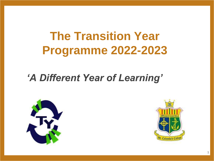# **The Transition Year Programme 2022-2023**

#### *'A Different Year of Learning'*





1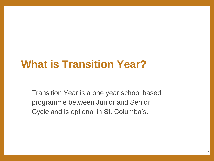### **What is Transition Year?**

Transition Year is a one year school based programme between Junior and Senior Cycle and is optional in St. Columba's.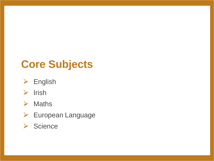### **Core Subjects**

 $\triangleright$  English



#### $\triangleright$  Maths

- ▶ European Language
- ▶ Science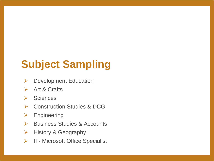# **Subject Sampling**

- $\triangleright$  Development Education
- $\triangleright$  Art & Crafts
- **▶ Sciences**
- **▶ Construction Studies & DCG**
- ⮚ Engineering
- **► Business Studies & Accounts**
- $\triangleright$  History & Geography
- $\triangleright$  IT- Microsoft Office Specialist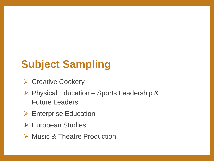# **Subject Sampling**

- **▶ Creative Cookery**
- ▶ Physical Education Sports Leadership & Future Leaders
- $\triangleright$  Enterprise Education
- **▶ European Studies**
- **► Music & Theatre Production**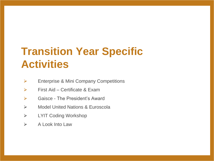# **Transition Year Specific Activities**

- $\triangleright$  Enterprise & Mini Company Competitions
- $\triangleright$  First Aid Certificate & Exam
- **►** Gaisce The President's Award
- **▶ Model United Nations & Euroscola**
- ⮚ LYIT Coding Workshop
- $\triangleright$  A Look Into Law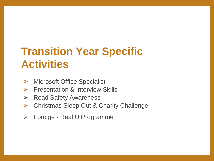# **Transition Year Specific Activities**

- **► Microsoft Office Specialist**
- **▶ Presentation & Interview Skills**
- **▶ Road Safety Awareness**
- **▶ Christmas Sleep Out & Charity Challenge**
- ⮚ Foroige Real U Programme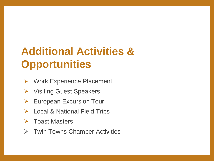# **Additional Activities & Opportunities**

- **▶ Work Experience Placement**
- **▶ Visiting Guest Speakers**
- $\triangleright$  European Excursion Tour
- **▶ Local & National Field Trips**
- **▶ Toast Masters**
- **► Twin Towns Chamber Activities**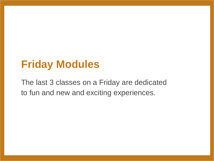#### **Friday Modules**

The last 3 classes on a Friday are dedicated to fun and new and exciting experiences.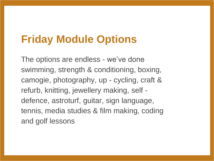### **Friday Module Options**

The options are endless - we've done swimming, strength & conditioning, boxing, camogie, photography, up - cycling, craft & refurb, knitting, jewellery making, self defence, astroturf, guitar, sign language, tennis, media studies & film making, coding and golf lessons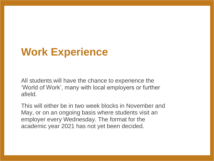### **Work Experience**

All students will have the chance to experience the 'World of Work', many with local employers or further afield.

This will either be in two week blocks in November and May, or on an ongoing basis where students visit an employer every Wednesday. The format for the academic year 2021 has not yet been decided.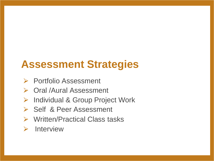### **Assessment Strategies**

- **▶ Portfolio Assessment**
- ▶ Oral /Aural Assessment
- ▶ Individual & Group Project Work
- **▶ Self & Peer Assessment**
- ⮚ Written/Practical Class tasks
- $\triangleright$  Interview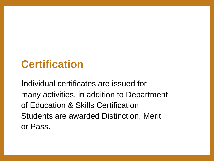### **Certification**

Individual certificates are issued for many activities, in addition to Department of Education & Skills Certification Students are awarded Distinction, Merit or Pass.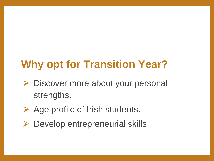# **Why opt for Transition Year?**

- **► Discover more about your personal** strengths.
- $\triangleright$  Age profile of Irish students.
- $\triangleright$  Develop entrepreneurial skills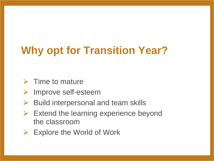# **Why opt for Transition Year?**

- $\triangleright$  Time to mature
- **▶ Improve self-esteem**
- $\triangleright$  Build interpersonal and team skills
- $\triangleright$  Extend the learning experience beyond the classroom
- $\triangleright$  Explore the World of Work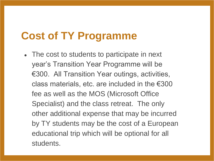### **Cost of TY Programme**

• The cost to students to participate in next year's Transition Year Programme will be €300. All Transition Year outings, activities, class materials, etc. are included in the  $\epsilon$ 300 fee as well as the MOS (Microsoft Office Specialist) and the class retreat. The only other additional expense that may be incurred by TY students may be the cost of a European educational trip which will be optional for all students.